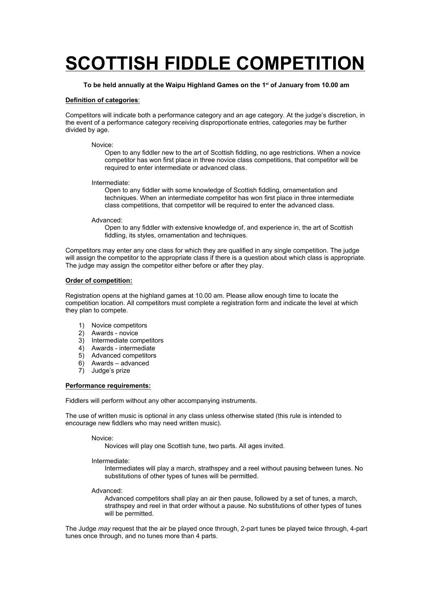# **SCOTTISH FIDDLE COMPETITION**

## **To be held annually at the Waipu Highland Games on the 1st of January from 10.00 am**

## **Definition of categories**:

Competitors will indicate both a performance category and an age category. At the judge's discretion, in the event of a performance category receiving disproportionate entries, categories may be further divided by age.

#### Novice:

Open to any fiddler new to the art of Scottish fiddling, no age restrictions. When a novice competitor has won first place in three novice class competitions, that competitor will be required to enter intermediate or advanced class.

#### Intermediate:

Open to any fiddler with some knowledge of Scottish fiddling, ornamentation and techniques. When an intermediate competitor has won first place in three intermediate class competitions, that competitor will be required to enter the advanced class.

#### Advanced:

Open to any fiddler with extensive knowledge of, and experience in, the art of Scottish fiddling, its styles, ornamentation and techniques.

Competitors may enter any one class for which they are qualified in any single competition. The judge will assign the competitor to the appropriate class if there is a question about which class is appropriate. The judge may assign the competitor either before or after they play.

#### **Order of competition:**

Registration opens at the highland games at 10.00 am. Please allow enough time to locate the competition location. All competitors must complete a registration form and indicate the level at which they plan to compete.

- 1) Novice competitors
- 2) Awards novice
- 3) Intermediate competitors
- 4) Awards intermediate
- 5) Advanced competitors
- 6) Awards advanced
- 7) Judge's prize

### **Performance requirements:**

Fiddlers will perform without any other accompanying instruments.

The use of written music is optional in any class unless otherwise stated (this rule is intended to encourage new fiddlers who may need written music).

Novice:

Novices will play one Scottish tune, two parts. All ages invited.

Intermediate:

Intermediates will play a march, strathspey and a reel without pausing between tunes. No substitutions of other types of tunes will be permitted.

#### Advanced:

Advanced competitors shall play an air then pause, followed by a set of tunes, a march, strathspey and reel in that order without a pause. No substitutions of other types of tunes will be permitted.

The Judge *may* request that the air be played once through, 2-part tunes be played twice through, 4-part tunes once through, and no tunes more than 4 parts.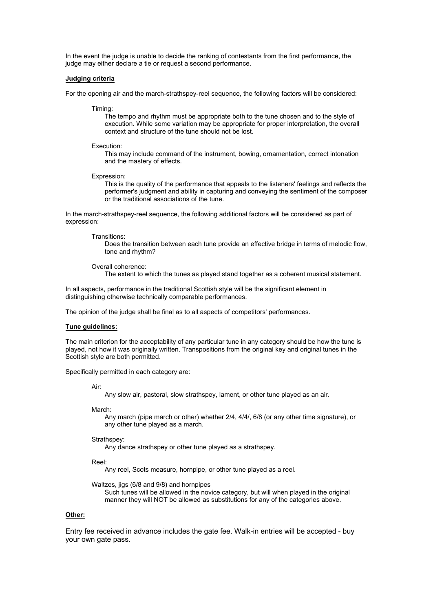In the event the judge is unable to decide the ranking of contestants from the first performance, the judge may either declare a tie or request a second performance.

#### **Judging criteria**

For the opening air and the march-strathspey-reel sequence, the following factors will be considered:

Timing:

The tempo and rhythm must be appropriate both to the tune chosen and to the style of execution. While some variation may be appropriate for proper interpretation, the overall context and structure of the tune should not be lost.

#### Execution:

This may include command of the instrument, bowing, ornamentation, correct intonation and the mastery of effects.

Expression:

This is the quality of the performance that appeals to the listeners' feelings and reflects the performer's judgment and ability in capturing and conveying the sentiment of the composer or the traditional associations of the tune.

In the march-strathspey-reel sequence, the following additional factors will be considered as part of expression:

Transitions:

Does the transition between each tune provide an effective bridge in terms of melodic flow, tone and rhythm?

Overall coherence:

The extent to which the tunes as played stand together as a coherent musical statement.

In all aspects, performance in the traditional Scottish style will be the significant element in distinguishing otherwise technically comparable performances.

The opinion of the judge shall be final as to all aspects of competitors' performances.

## **Tune guidelines:**

The main criterion for the acceptability of any particular tune in any category should be how the tune is played, not how it was originally written. Transpositions from the original key and original tunes in the Scottish style are both permitted.

Specifically permitted in each category are:

Air:

Any slow air, pastoral, slow strathspey, lament, or other tune played as an air.

March:

Any march (pipe march or other) whether 2/4, 4/4/, 6/8 (or any other time signature), or any other tune played as a march.

Strathspey:

Any dance strathspey or other tune played as a strathspey.

Reel:

Any reel, Scots measure, hornpipe, or other tune played as a reel.

Waltzes, jigs (6/8 and 9/8) and hornpipes

Such tunes will be allowed in the novice category, but will when played in the original manner they will NOT be allowed as substitutions for any of the categories above.

## **Other:**

Entry fee received in advance includes the gate fee. Walk-in entries will be accepted - buy your own gate pass.